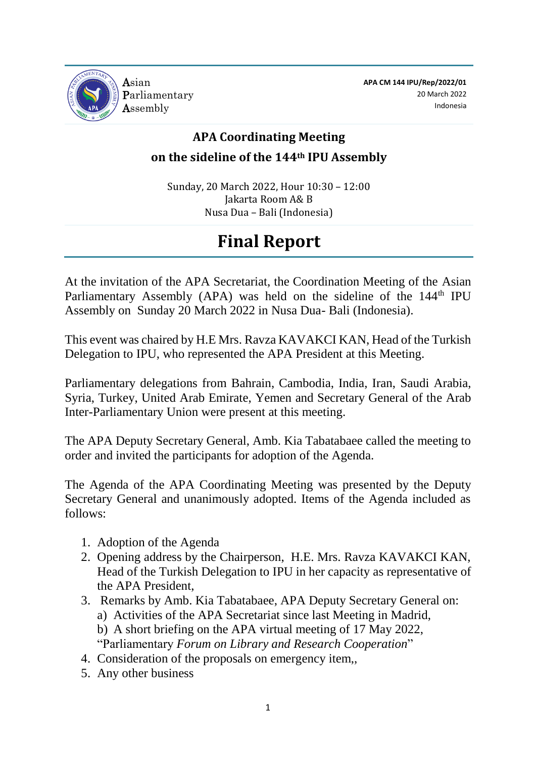

**APA CM 144 IPU/Rep/2022/01** 20 March 2022 Indonesia

## **APA Coordinating Meeting on the sideline of the 144th IPU Assembly**

Sunday, 20 March 2022, Hour 10:30 – 12:00 Jakarta Room A& B Nusa Dua – Bali (Indonesia)

# **Final Report**

At the invitation of the APA Secretariat, the Coordination Meeting of the Asian Parliamentary Assembly (APA) was held on the sideline of the 144<sup>th</sup> IPU Assembly on Sunday 20 March 2022 in Nusa Dua- Bali (Indonesia).

This event was chaired by H.E Mrs. Ravza KAVAKCI KAN, Head of the Turkish Delegation to IPU, who represented the APA President at this Meeting.

Parliamentary delegations from Bahrain, Cambodia, India, Iran, Saudi Arabia, Syria, Turkey, United Arab Emirate, Yemen and Secretary General of the Arab Inter-Parliamentary Union were present at this meeting.

The APA Deputy Secretary General, Amb. Kia Tabatabaee called the meeting to order and invited the participants for adoption of the Agenda.

The Agenda of the APA Coordinating Meeting was presented by the Deputy Secretary General and unanimously adopted. Items of the Agenda included as follows:

- 1. Adoption of the Agenda
- 2. Opening address by the Chairperson, H.E. Mrs. Ravza KAVAKCI KAN, Head of the Turkish Delegation to IPU in her capacity as representative of the APA President,
- 3. Remarks by Amb. Kia Tabatabaee, APA Deputy Secretary General on: a) Activities of the APA Secretariat since last Meeting in Madrid,
	- b) A short briefing on the APA virtual meeting of 17 May 2022, "Parliamentary *Forum on Library and Research Cooperation*"
- 4. Consideration of the proposals on emergency item,,
- 5. Any other business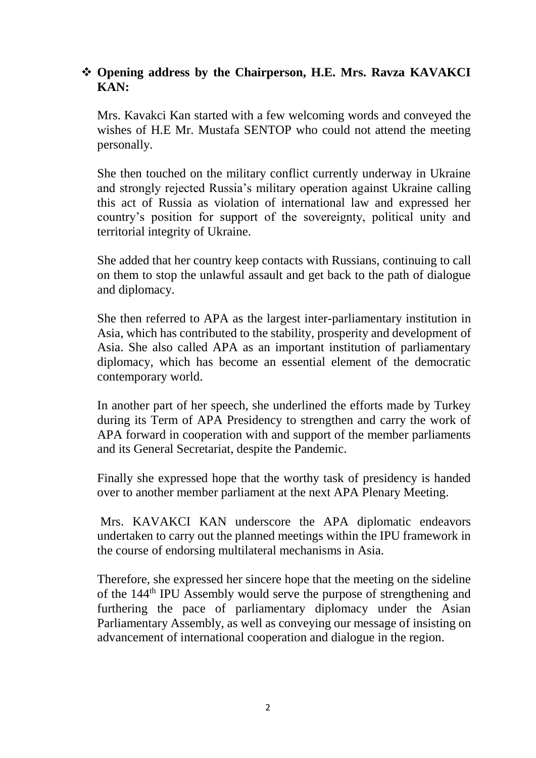## **Opening address by the Chairperson, H.E. Mrs. Ravza KAVAKCI KAN:**

Mrs. Kavakci Kan started with a few welcoming words and conveyed the wishes of H.E Mr. Mustafa SENTOP who could not attend the meeting personally.

She then touched on the military conflict currently underway in Ukraine and strongly rejected Russia's military operation against Ukraine calling this act of Russia as violation of international law and expressed her country's position for support of the sovereignty, political unity and territorial integrity of Ukraine.

She added that her country keep contacts with Russians, continuing to call on them to stop the unlawful assault and get back to the path of dialogue and diplomacy.

She then referred to APA as the largest inter-parliamentary institution in Asia, which has contributed to the stability, prosperity and development of Asia. She also called APA as an important institution of parliamentary diplomacy, which has become an essential element of the democratic contemporary world.

In another part of her speech, she underlined the efforts made by Turkey during its Term of APA Presidency to strengthen and carry the work of APA forward in cooperation with and support of the member parliaments and its General Secretariat, despite the Pandemic.

Finally she expressed hope that the worthy task of presidency is handed over to another member parliament at the next APA Plenary Meeting.

Mrs. KAVAKCI KAN underscore the APA diplomatic endeavors undertaken to carry out the planned meetings within the IPU framework in the course of endorsing multilateral mechanisms in Asia.

Therefore, she expressed her sincere hope that the meeting on the sideline of the 144th IPU Assembly would serve the purpose of strengthening and furthering the pace of parliamentary diplomacy under the Asian Parliamentary Assembly, as well as conveying our message of insisting on advancement of international cooperation and dialogue in the region.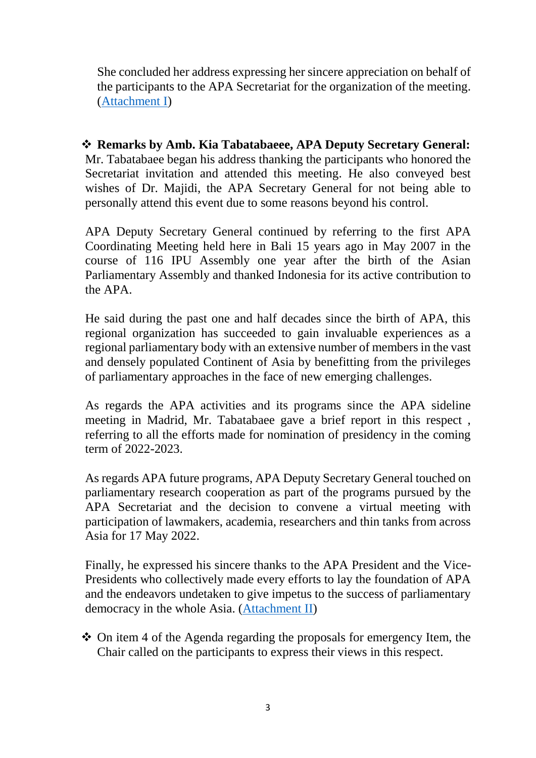She concluded her address expressing her sincere appreciation on behalf of the participants to the APA Secretariat for the organization of the meeting. [\(Attachment I\)](#page-4-0)

 **Remarks by Amb. Kia Tabatabaeee, APA Deputy Secretary General:** Mr. Tabatabaee began his address thanking the participants who honored the Secretariat invitation and attended this meeting. He also conveyed best wishes of Dr. Majidi, the APA Secretary General for not being able to personally attend this event due to some reasons beyond his control.

APA Deputy Secretary General continued by referring to the first APA Coordinating Meeting held here in Bali 15 years ago in May 2007 in the course of 116 IPU Assembly one year after the birth of the Asian Parliamentary Assembly and thanked Indonesia for its active contribution to the APA.

He said during the past one and half decades since the birth of APA, this regional organization has succeeded to gain invaluable experiences as a regional parliamentary body with an extensive number of members in the vast and densely populated Continent of Asia by benefitting from the privileges of parliamentary approaches in the face of new emerging challenges.

As regards the APA activities and its programs since the APA sideline meeting in Madrid, Mr. Tabatabaee gave a brief report in this respect , referring to all the efforts made for nomination of presidency in the coming term of 2022-2023.

As regards APA future programs, APA Deputy Secretary General touched on parliamentary research cooperation as part of the programs pursued by the APA Secretariat and the decision to convene a virtual meeting with participation of lawmakers, academia, researchers and thin tanks from across Asia for 17 May 2022.

Finally, he expressed his sincere thanks to the APA President and the Vice-Presidents who collectively made every efforts to lay the foundation of APA and the endeavors undetaken to give impetus to the success of parliamentary democracy in the whole Asia. [\(Attachment II\)](#page-6-0)

 On item 4 of the Agenda regarding the proposals for emergency Item, the Chair called on the participants to express their views in this respect.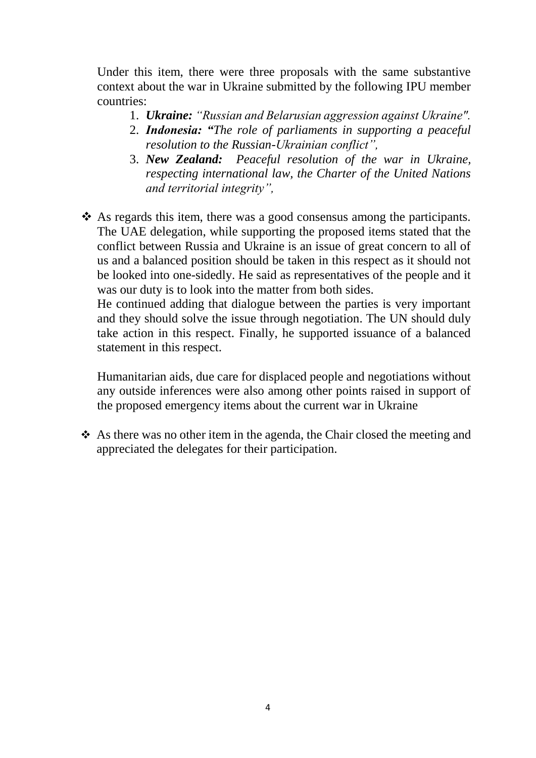Under this item, there were three proposals with the same substantive context about the war in Ukraine submitted by the following IPU member countries:

- 1. *Ukraine: "Russian and Belarusian aggression against Ukraine".*
- 2. *Indonesia: "The role of parliaments in supporting a peaceful resolution to the Russian-Ukrainian conflict",*
- 3. *New Zealand: Peaceful resolution of the war in Ukraine, respecting international law, the Charter of the United Nations and territorial integrity",*
- $\triangle$  As regards this item, there was a good consensus among the participants. The UAE delegation, while supporting the proposed items stated that the conflict between Russia and Ukraine is an issue of great concern to all of us and a balanced position should be taken in this respect as it should not be looked into one-sidedly. He said as representatives of the people and it was our duty is to look into the matter from both sides.

He continued adding that dialogue between the parties is very important and they should solve the issue through negotiation. The UN should duly take action in this respect. Finally, he supported issuance of a balanced statement in this respect.

Humanitarian aids, due care for displaced people and negotiations without any outside inferences were also among other points raised in support of the proposed emergency items about the current war in Ukraine

 As there was no other item in the agenda, the Chair closed the meeting and appreciated the delegates for their participation.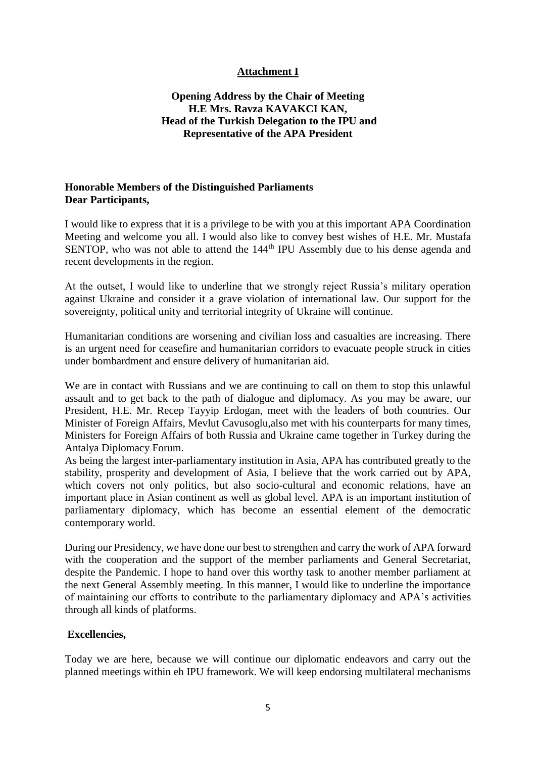#### **Attachment I**

#### <span id="page-4-0"></span>**Opening Address by the Chair of Meeting H.E Mrs. Ravza KAVAKCI KAN, Head of the Turkish Delegation to the IPU and Representative of the APA President**

#### **Honorable Members of the Distinguished Parliaments Dear Participants,**

I would like to express that it is a privilege to be with you at this important APA Coordination Meeting and welcome you all. I would also like to convey best wishes of H.E. Mr. Mustafa SENTOP, who was not able to attend the 144<sup>th</sup> IPU Assembly due to his dense agenda and recent developments in the region.

At the outset, I would like to underline that we strongly reject Russia's military operation against Ukraine and consider it a grave violation of international law. Our support for the sovereignty, political unity and territorial integrity of Ukraine will continue.

Humanitarian conditions are worsening and civilian loss and casualties are increasing. There is an urgent need for ceasefire and humanitarian corridors to evacuate people struck in cities under bombardment and ensure delivery of humanitarian aid.

We are in contact with Russians and we are continuing to call on them to stop this unlawful assault and to get back to the path of dialogue and diplomacy. As you may be aware, our President, H.E. Mr. Recep Tayyip Erdogan, meet with the leaders of both countries. Our Minister of Foreign Affairs, Mevlut Cavusoglu,also met with his counterparts for many times, Ministers for Foreign Affairs of both Russia and Ukraine came together in Turkey during the Antalya Diplomacy Forum.

As being the largest inter-parliamentary institution in Asia, APA has contributed greatly to the stability, prosperity and development of Asia, I believe that the work carried out by APA, which covers not only politics, but also socio-cultural and economic relations, have an important place in Asian continent as well as global level. APA is an important institution of parliamentary diplomacy, which has become an essential element of the democratic contemporary world.

During our Presidency, we have done our best to strengthen and carry the work of APA forward with the cooperation and the support of the member parliaments and General Secretariat, despite the Pandemic. I hope to hand over this worthy task to another member parliament at the next General Assembly meeting. In this manner, I would like to underline the importance of maintaining our efforts to contribute to the parliamentary diplomacy and APA's activities through all kinds of platforms.

#### **Excellencies,**

Today we are here, because we will continue our diplomatic endeavors and carry out the planned meetings within eh IPU framework. We will keep endorsing multilateral mechanisms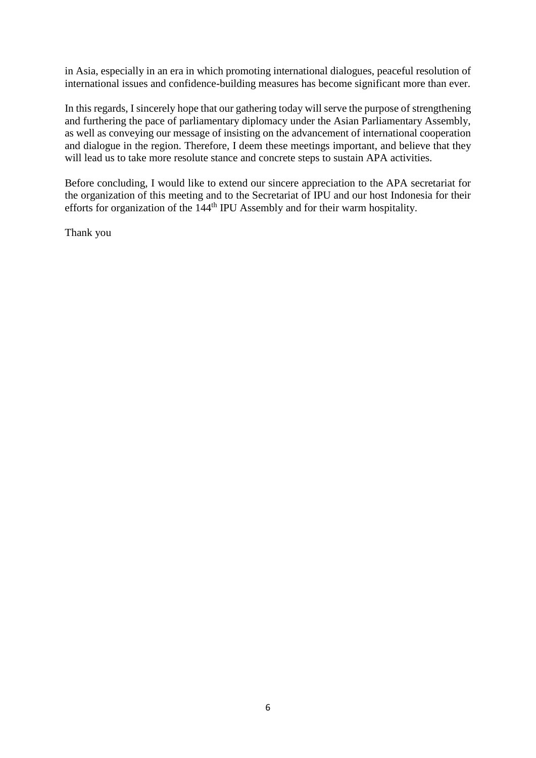in Asia, especially in an era in which promoting international dialogues, peaceful resolution of international issues and confidence-building measures has become significant more than ever.

In this regards, I sincerely hope that our gathering today will serve the purpose of strengthening and furthering the pace of parliamentary diplomacy under the Asian Parliamentary Assembly, as well as conveying our message of insisting on the advancement of international cooperation and dialogue in the region. Therefore, I deem these meetings important, and believe that they will lead us to take more resolute stance and concrete steps to sustain APA activities.

Before concluding, I would like to extend our sincere appreciation to the APA secretariat for the organization of this meeting and to the Secretariat of IPU and our host Indonesia for their efforts for organization of the 144th IPU Assembly and for their warm hospitality.

Thank you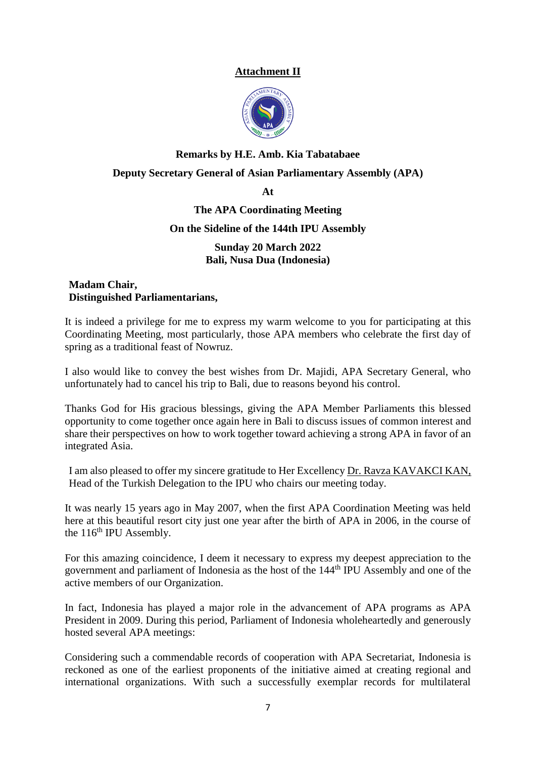#### **Attachment II**



# <span id="page-6-0"></span>**Remarks by H.E. Amb. Kia Tabatabaee Deputy Secretary General of Asian Parliamentary Assembly (APA)**

**At**

#### **The APA Coordinating Meeting**

#### **On the Sideline of the 144th IPU Assembly**

**Sunday 20 March 2022 Bali, Nusa Dua (Indonesia)**

#### **Madam Chair, Distinguished Parliamentarians,**

It is indeed a privilege for me to express my warm welcome to you for participating at this Coordinating Meeting, most particularly, those APA members who celebrate the first day of spring as a traditional feast of Nowruz.

I also would like to convey the best wishes from Dr. Majidi, APA Secretary General, who unfortunately had to cancel his trip to Bali, due to reasons beyond his control.

Thanks God for His gracious blessings, giving the APA Member Parliaments this blessed opportunity to come together once again here in Bali to discuss issues of common interest and share their perspectives on how to work together toward achieving a strong APA in favor of an integrated Asia.

I am also pleased to offer my sincere gratitude to Her Excellency Dr. Ravza KAVAKCI KAN, Head of the Turkish Delegation to the IPU who chairs our meeting today.

It was nearly 15 years ago in May 2007, when the first APA Coordination Meeting was held here at this beautiful resort city just one year after the birth of APA in 2006, in the course of the  $116<sup>th</sup>$  IPU Assembly.

For this amazing coincidence, I deem it necessary to express my deepest appreciation to the government and parliament of Indonesia as the host of the 144th IPU Assembly and one of the active members of our Organization.

In fact, Indonesia has played a major role in the advancement of APA programs as APA President in 2009. During this period, Parliament of Indonesia wholeheartedly and generously hosted several APA meetings:

Considering such a commendable records of cooperation with APA Secretariat, Indonesia is reckoned as one of the earliest proponents of the initiative aimed at creating regional and international organizations. With such a successfully exemplar records for multilateral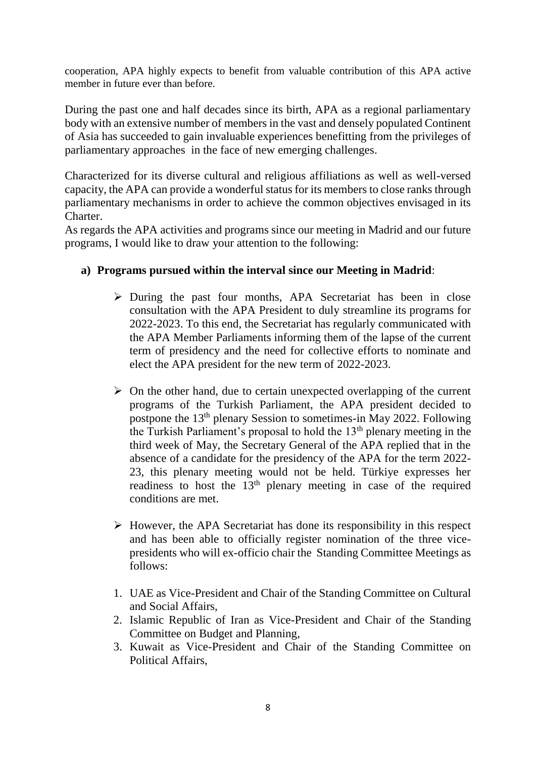cooperation, APA highly expects to benefit from valuable contribution of this APA active member in future ever than before.

During the past one and half decades since its birth, APA as a regional parliamentary body with an extensive number of members in the vast and densely populated Continent of Asia has succeeded to gain invaluable experiences benefitting from the privileges of parliamentary approaches in the face of new emerging challenges.

Characterized for its diverse cultural and religious affiliations as well as well-versed capacity, the APA can provide a wonderful status for its members to close ranks through parliamentary mechanisms in order to achieve the common objectives envisaged in its Charter.

As regards the APA activities and programs since our meeting in Madrid and our future programs, I would like to draw your attention to the following:

### **a) Programs pursued within the interval since our Meeting in Madrid**:

- $\triangleright$  During the past four months, APA Secretariat has been in close consultation with the APA President to duly streamline its programs for 2022-2023. To this end, the Secretariat has regularly communicated with the APA Member Parliaments informing them of the lapse of the current term of presidency and the need for collective efforts to nominate and elect the APA president for the new term of 2022-2023.
- $\triangleright$  On the other hand, due to certain unexpected overlapping of the current programs of the Turkish Parliament, the APA president decided to postpone the 13th plenary Session to sometimes-in May 2022. Following the Turkish Parliament's proposal to hold the 13th plenary meeting in the third week of May, the Secretary General of the APA replied that in the absence of a candidate for the presidency of the APA for the term 2022- 23, this plenary meeting would not be held. Türkiye expresses her readiness to host the 13th plenary meeting in case of the required conditions are met.
- $\triangleright$  However, the APA Secretariat has done its responsibility in this respect and has been able to officially register nomination of the three vicepresidents who will ex-officio chair the Standing Committee Meetings as follows:
- 1. UAE as Vice-President and Chair of the Standing Committee on Cultural and Social Affairs,
- 2. Islamic Republic of Iran as Vice-President and Chair of the Standing Committee on Budget and Planning,
- 3. Kuwait as Vice-President and Chair of the Standing Committee on Political Affairs,